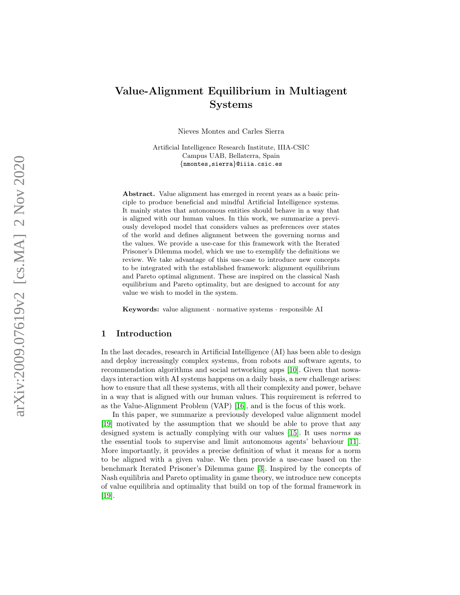# Value-Alignment Equilibrium in Multiagent Systems

Nieves Montes and Carles Sierra

Artificial Intelligence Research Institute, IIIA-CSIC Campus UAB, Bellaterra, Spain {nmontes,sierra}@iiia.csic.es

Abstract. Value alignment has emerged in recent years as a basic principle to produce beneficial and mindful Artificial Intelligence systems. It mainly states that autonomous entities should behave in a way that is aligned with our human values. In this work, we summarize a previously developed model that considers values as preferences over states of the world and defines alignment between the governing norms and the values. We provide a use-case for this framework with the Iterated Prisoner's Dilemma model, which we use to exemplify the definitions we review. We take advantage of this use-case to introduce new concepts to be integrated with the established framework: alignment equilibrium and Pareto optimal alignment. These are inspired on the classical Nash equilibrium and Pareto optimality, but are designed to account for any value we wish to model in the system.

Keywords: value alignment · normative systems · responsible AI

## 1 Introduction

In the last decades, research in Artificial Intelligence (AI) has been able to design and deploy increasingly complex systems, from robots and software agents, to recommendation algorithms and social networking apps [\[10\]](#page-15-0). Given that nowadays interaction with AI systems happens on a daily basis, a new challenge arises: how to ensure that all these systems, with all their complexity and power, behave in a way that is aligned with our human values. This requirement is referred to as the Value-Alignment Problem (VAP) [\[16\]](#page-15-1), and is the focus of this work.

In this paper, we summarize a previously developed value alignment model [\[19\]](#page-15-2) motivated by the assumption that we should be able to prove that any designed system is actually complying with our values [\[15\]](#page-15-3). It uses norms as the essential tools to supervise and limit autonomous agents' behaviour [\[11\]](#page-15-4). More importantly, it provides a precise definition of what it means for a norm to be aligned with a given value. We then provide a use-case based on the benchmark Iterated Prisoner's Dilemma game [\[3\]](#page-14-0). Inspired by the concepts of Nash equilibria and Pareto optimality in game theory, we introduce new concepts of value equilibria and optimality that build on top of the formal framework in [\[19\]](#page-15-2).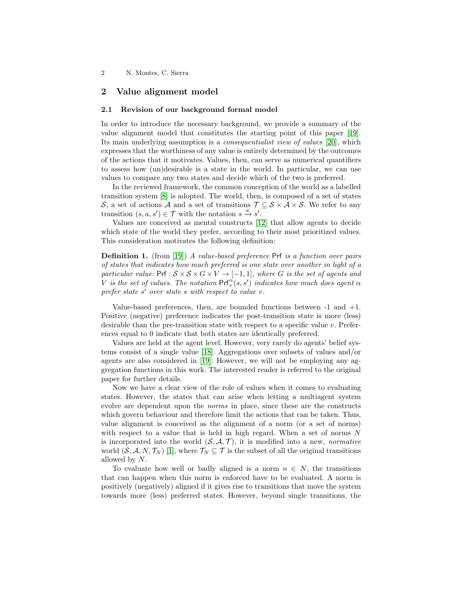# 2 Value alignment model

## 2.1 Revision of our background formal model

In order to introduce the necessary background, we provide a summary of the value alignment model that constitutes the starting point of this paper [\[19\]](#page-15-2). Its main underlying assumption is a consequentialist view of values [\[20\]](#page-15-5), which expresses that the worthiness of any value is entirely determined by the outcomes of the actions that it motivates. Values, then, can serve as numerical quantifiers to assess how (un)desirable is a state in the world. In particular, we can use values to compare any two states and decide which of the two is preferred.

In the reviewed framework, the common conception of the world as a labelled transition system [\[8\]](#page-15-6) is adopted. The world, then, is composed of a set of states S, a set of actions A and a set of transitions  $\mathcal{T} \subseteq \mathcal{S} \times \mathcal{A} \times \mathcal{S}$ . We refer to any transition  $(s, a, s') \in \mathcal{T}$  with the notation  $s \stackrel{a}{\rightarrow} s'$ .

Values are conceived as mental constructs [\[12\]](#page-15-7) that allow agents to decide which state of the world they prefer, according to their most prioritized values. This consideration motivates the following definition:

**Definition 1.** (from [\[19\]](#page-15-2)) A value-based preference Prf is a function over pairs of states that indicates how much preferred is one state over another in light of a particular value:  $Prf : S \times S \times G \times V \rightarrow [-1, 1]$ , where G is the set of agents and V is the set of values. The notation  $\mathsf{Prf}_v^{\alpha}(s,s')$  indicates how much does agent  $\alpha$ prefer state s' over state s with respect to value v.

Value-based preferences, then, are bounded functions between  $-1$  and  $+1$ . Positive (negative) preference indicates the post-transition state is more (less) desirable than the pre-transition state with respect to a specific value  $v$ . Preferences equal to 0 indicate that both states are identically preferred.

Values are held at the agent level. However, very rarely do agents' belief systems consist of a single value [\[18\]](#page-15-8). Aggregations over subsets of values and/or agents are also considered in [\[19\]](#page-15-2). However, we will not be employing any aggregation functions in this work. The interested reader is referred to the original paper for further details.

Now we have a clear view of the role of values when it comes to evaluating states. However, the states that can arise when letting a multiagent system evolve are dependent upon the norms in place, since these are the constructs which govern behaviour and therefore limit the actions that can be taken. Thus, value alignment is conceived as the alignment of a norm (or a set of norms) with respect to a value that is held in high regard. When a set of norms N is incorporated into the world  $(S, \mathcal{A}, \mathcal{T})$ , it is modified into a new, *normative* world  $(S, \mathcal{A}, N, \mathcal{T}_N)$  [\[1\]](#page-14-1), where  $\mathcal{T}_N \subseteq \mathcal{T}$  is the subset of all the original transitions allowed by N.

To evaluate how well or badly aligned is a norm  $n \in N$ , the transitions that can happen when this norm is enforced have to be evaluated. A norm is positively (negatively) aligned if it gives rise to transitions that move the system towards more (less) preferred states. However, beyond single transitions, the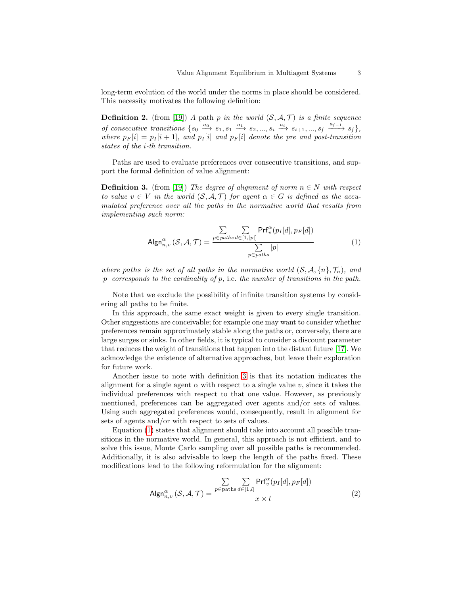long-term evolution of the world under the norms in place should be considered. This necessity motivates the following definition:

**Definition 2.** (from [\[19\]](#page-15-2)) A path p in the world  $(S, \mathcal{A}, \mathcal{T})$  is a finite sequence of consecutive transitions  $\{s_0 \stackrel{a_0}{\longrightarrow} s_1, s_1 \stackrel{a_1}{\longrightarrow} s_2, ..., s_i \stackrel{a_i}{\longrightarrow} s_{i+1}, ..., s_f \stackrel{a_{f-1}}{\longrightarrow} s_f\},\$ where  $p_F[i] = p_I[i+1]$ , and  $p_I[i]$  and  $p_F[i]$  denote the pre and post-transition states of the i-th transition.

Paths are used to evaluate preferences over consecutive transitions, and support the formal definition of value alignment:

<span id="page-2-0"></span>**Definition 3.** (from [\[19\]](#page-15-2)) The degree of alignment of norm  $n \in N$  with respect to value  $v \in V$  in the world  $(S, \mathcal{A}, \mathcal{T})$  for agent  $\alpha \in G$  is defined as the accumulated preference over all the paths in the normative world that results from implementing such norm:

<span id="page-2-1"></span>
$$
\mathsf{Algn}^{\alpha}_{n,v}(\mathcal{S}, \mathcal{A}, \mathcal{T}) = \frac{\sum\limits_{p \in paths} \sum\limits_{d \in [1, |p|]} \mathsf{Prf}^{\alpha}_{v}(p_I[d], p_F[d])}{\sum\limits_{p \in paths} |p|} \tag{1}
$$

where paths is the set of all paths in the normative world  $(S, \mathcal{A}, \{n\}, \mathcal{T}_n)$ , and  $|p|$  corresponds to the cardinality of p, i.e. the number of transitions in the path.

Note that we exclude the possibility of infinite transition systems by considering all paths to be finite.

In this approach, the same exact weight is given to every single transition. Other suggestions are conceivable; for example one may want to consider whether preferences remain approximately stable along the paths or, conversely, there are large surges or sinks. In other fields, it is typical to consider a discount parameter that reduces the weight of transitions that happen into the distant future [\[17\]](#page-15-9). We acknowledge the existence of alternative approaches, but leave their exploration for future work.

Another issue to note with definition [3](#page-2-0) is that its notation indicates the alignment for a single agent  $\alpha$  with respect to a single value v, since it takes the individual preferences with respect to that one value. However, as previously mentioned, preferences can be aggregated over agents and/or sets of values. Using such aggregated preferences would, consequently, result in alignment for sets of agents and/or with respect to sets of values.

Equation [\(1\)](#page-2-1) states that alignment should take into account all possible transitions in the normative world. In general, this approach is not efficient, and to solve this issue, Monte Carlo sampling over all possible paths is recommended. Additionally, it is also advisable to keep the length of the paths fixed. These modifications lead to the following reformulation for the alignment:

<span id="page-2-2"></span>
$$
\mathsf{Algn}_{n,v}^{\alpha} \left( \mathcal{S}, \mathcal{A}, \mathcal{T} \right) = \frac{\sum\limits_{p \in \text{paths}} \sum\limits_{d \in [1,l]} \mathsf{Prf}_{v}^{\alpha}(p_I[d], p_F[d])}{x \times l} \tag{2}
$$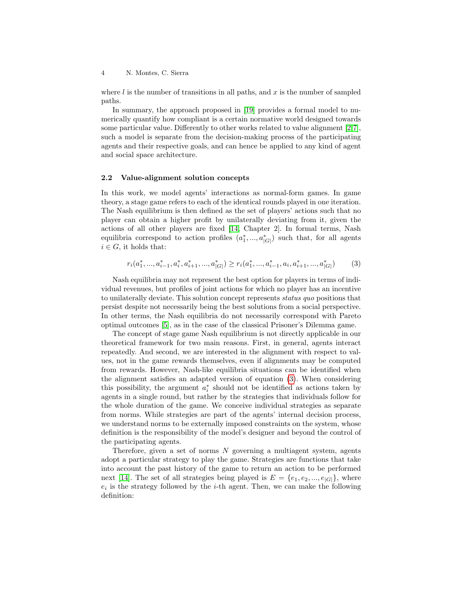where  $l$  is the number of transitions in all paths, and x is the number of sampled paths.

In summary, the approach proposed in [\[19\]](#page-15-2) provides a formal model to numerically quantify how compliant is a certain normative world designed towards some particular value. Differently to other works related to value alignment [\[2,](#page-14-2)[7\]](#page-15-10), such a model is separate from the decision-making process of the participating agents and their respective goals, and can hence be applied to any kind of agent and social space architecture.

## 2.2 Value-alignment solution concepts

In this work, we model agents' interactions as normal-form games. In game theory, a stage game refers to each of the identical rounds played in one iteration. The Nash equilibrium is then defined as the set of players' actions such that no player can obtain a higher profit by unilaterally deviating from it, given the actions of all other players are fixed [\[14,](#page-15-11) Chapter 2]. In formal terms, Nash equilibria correspond to action profiles  $(a_1^*,..., a_{|G|}^*)$  such that, for all agents  $i \in G$ , it holds that:

<span id="page-3-0"></span>
$$
r_i(a_1^*,...,a_{i-1}^*,a_i^*,a_{i+1}^*,...,a_{|G|}^*) \ge r_i(a_1^*,...,a_{i-1}^*,a_i,a_{i+1}^*,...,a_{|G|}^*)
$$
(3)

Nash equilibria may not represent the best option for players in terms of individual revenues, but profiles of joint actions for which no player has an incentive to unilaterally deviate. This solution concept represents status quo positions that persist despite not necessarily being the best solutions from a social perspective. In other terms, the Nash equilibria do not necessarily correspond with Pareto optimal outcomes [\[5\]](#page-14-3), as in the case of the classical Prisoner's Dilemma game.

The concept of stage game Nash equilibrium is not directly applicable in our theoretical framework for two main reasons. First, in general, agents interact repeatedly. And second, we are interested in the alignment with respect to values, not in the game rewards themselves, even if alignments may be computed from rewards. However, Nash-like equilibria situations can be identified when the alignment satisfies an adapted version of equation [\(3\)](#page-3-0). When considering this possibility, the argument  $a_i^*$  should not be identified as actions taken by agents in a single round, but rather by the strategies that individuals follow for the whole duration of the game. We conceive individual strategies as separate from norms. While strategies are part of the agents' internal decision process, we understand norms to be externally imposed constraints on the system, whose definition is the responsibility of the model's designer and beyond the control of the participating agents.

Therefore, given a set of norms  $N$  governing a multiagent system, agents adopt a particular strategy to play the game. Strategies are functions that take into account the past history of the game to return an action to be performed next [\[14\]](#page-15-11). The set of all strategies being played is  $E = \{e_1, e_2, ..., e_{|G|}\}\$ , where  $e_i$  is the strategy followed by the *i*-th agent. Then, we can make the following definition: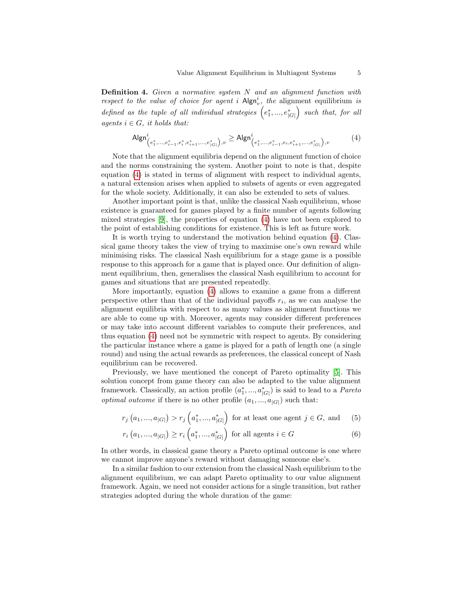**Definition 4.** Given a normative system  $N$  and an alignment function with respect to the value of choice for agent i  $\mathsf{Algn}_v^i$ , the alignment equilibrium is defined as the tuple of all individual strategies  $(e_1^*,...,e_{|G|}^*)$  such that, for all agents  $i \in G$ , it holds that:

<span id="page-4-0"></span>
$$
\mathsf{Algn}_{\left(e_1^*,...,e_{i-1}^*,e_i^*,e_{i+1}^*,...,e_{|G|}^*\right),v}^i \ge \mathsf{Algn}_{\left(e_1^*,...,e_{i-1}^*,e_i,e_{i+1}^*,...,e_{|G|}^*\right),v}^i \tag{4}
$$

Note that the alignment equilibria depend on the alignment function of choice and the norms constraining the system. Another point to note is that, despite equation [\(4\)](#page-4-0) is stated in terms of alignment with respect to individual agents, a natural extension arises when applied to subsets of agents or even aggregated for the whole society. Additionally, it can also be extended to sets of values.

Another important point is that, unlike the classical Nash equilibrium, whose existence is guaranteed for games played by a finite number of agents following mixed strategies [\[9\]](#page-15-12), the properties of equation [\(4\)](#page-4-0) have not been explored to the point of establishing conditions for existence. This is left as future work.

It is worth trying to understand the motivation behind equation [\(4\)](#page-4-0). Classical game theory takes the view of trying to maximise one's own reward while minimising risks. The classical Nash equilibrium for a stage game is a possible response to this approach for a game that is played once. Our definition of alignment equilibrium, then, generalises the classical Nash equilibrium to account for games and situations that are presented repeatedly.

More importantly, equation [\(4\)](#page-4-0) allows to examine a game from a different perspective other than that of the individual payoffs  $r_i$ , as we can analyse the alignment equilibria with respect to as many values as alignment functions we are able to come up with. Moreover, agents may consider different preferences or may take into account different variables to compute their preferences, and thus equation [\(4\)](#page-4-0) need not be symmetric with respect to agents. By considering the particular instance where a game is played for a path of length one (a single round) and using the actual rewards as preferences, the classical concept of Nash equilibrium can be recovered.

Previously, we have mentioned the concept of Pareto optimality [\[5\]](#page-14-3). This solution concept from game theory can also be adapted to the value alignment framework. Classically, an action profile  $(a_1^*,..., a_{|G|}^*)$  is said to lead to a *Pareto optimal outcome* if there is no other profile  $(a_1, ..., a_{|G|})$  such that:

$$
r_j(a_1, ..., a_{|G|}) > r_j(a_1^*, ..., a_{|G|}^*)
$$
 for at least one agent  $j \in G$ , and (5)

$$
r_{i}(a_{1},...,a_{|G|}) \ge r_{i}(a_{1}^{*},...,a_{|G|}^{*}) \text{ for all agents } i \in G
$$
 (6)

In other words, in classical game theory a Pareto optimal outcome is one where we cannot improve anyone's reward without damaging someone else's.

In a similar fashion to our extension from the classical Nash equilibrium to the alignment equilibrium, we can adapt Pareto optimality to our value alignment framework. Again, we need not consider actions for a single transition, but rather strategies adopted during the whole duration of the game: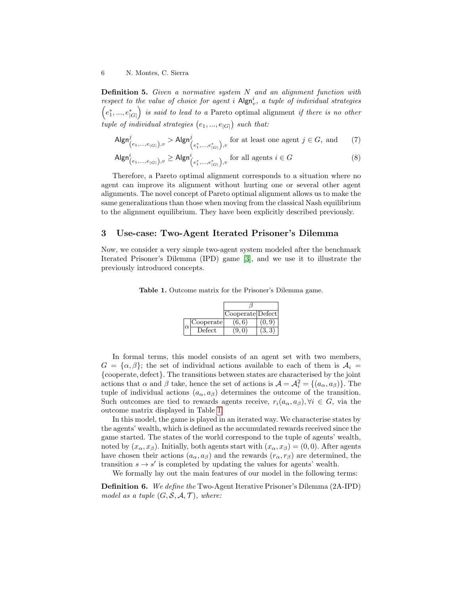**Definition 5.** Given a normative system N and an alignment function with respect to the value of choice for agent i  $\mathsf{Algn}_v^i$ , a tuple of individual strategies  $(e_1^*,...,e_{|G|}^*)$  is said to lead to a Pareto optimal alignment if there is no other tuple of individual strategies  $(e_1, ..., e_{|G|})$  such that:

$$
\mathsf{Algn}_{\left(e_1,\ldots,e_{|G|}\right),v}^j > \mathsf{Algn}_{\left(e_1^*,\ldots,e_{|G|}^*\right),v}^j \text{ for at least one agent } j \in G, \text{ and } (7)
$$

$$
\mathsf{Algn}_{(e_1,\ldots,e_{|G|}),v}^i \ge \mathsf{Algn}_{(e_1^*,\ldots,e_{|G|}^*),v}^i \text{ for all agents } i \in G
$$
 (8)

Therefore, a Pareto optimal alignment corresponds to a situation where no agent can improve its alignment without hurting one or several other agent alignments. The novel concept of Pareto optimal alignment allows us to make the same generalizations than those when moving from the classical Nash equilibrium to the alignment equilibrium. They have been explicitly described previously.

## 3 Use-case: Two-Agent Iterated Prisoner's Dilemma

Now, we consider a very simple two-agent system modeled after the benchmark Iterated Prisoner's Dilemma (IPD) game [\[3\]](#page-14-0), and we use it to illustrate the previously introduced concepts.

Table 1. Outcome matrix for the Prisoner's Dilemma game.

<span id="page-5-0"></span>

|          |           | Cooperate Defect |       |
|----------|-----------|------------------|-------|
| $\alpha$ | Cooperate | (6, 6)           | (0.9) |
|          | Defect    | (9, 0)           | (3,3) |

In formal terms, this model consists of an agent set with two members,  $G = {\alpha, \beta}$ ; the set of individual actions available to each of them is  $A_i =$ {cooperate, defect}. The transitions between states are characterised by the joint actions that  $\alpha$  and  $\beta$  take, hence the set of actions is  $\mathcal{A} = \mathcal{A}_i^2 = \{(a_\alpha, a_\beta)\}\.$  The tuple of individual actions  $(a_{\alpha}, a_{\beta})$  determines the outcome of the transition. Such outcomes are tied to rewards agents receive,  $r_i(a_\alpha, a_\beta), \forall i \in G$ , via the outcome matrix displayed in Table [1.](#page-5-0)

In this model, the game is played in an iterated way. We characterise states by the agents' wealth, which is defined as the accumulated rewards received since the game started. The states of the world correspond to the tuple of agents' wealth, noted by  $(x_\alpha, x_\beta)$ . Initially, both agents start with  $(x_\alpha, x_\beta) = (0, 0)$ . After agents have chosen their actions  $(a_{\alpha}, a_{\beta})$  and the rewards  $(r_{\alpha}, r_{\beta})$  are determined, the transition  $s \to s'$  is completed by updating the values for agents' wealth.

We formally lay out the main features of our model in the following terms:

Definition 6. We define the Two-Agent Iterative Prisoner's Dilemma (2A-IPD) model as a tuple  $(G, \mathcal{S}, \mathcal{A}, \mathcal{T})$ , where: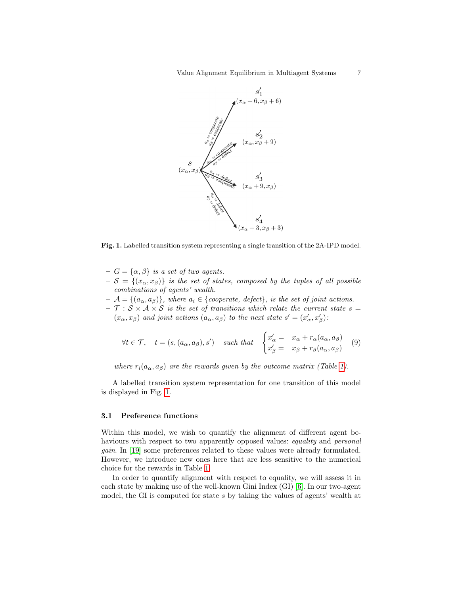

<span id="page-6-0"></span>Fig. 1. Labelled transition system representing a single transition of the 2A-IPD model.

- $-G = {\alpha, \beta}$  is a set of two agents.
- $-\mathcal{S} = \{(x_{\alpha}, x_{\beta})\}\$ is the set of states, composed by the tuples of all possible combinations of agents' wealth.
- $-\mathcal{A} = \{(a_{\alpha}, a_{\beta})\}\$ , where  $a_i \in \{cooperate, defect\}\$ , is the set of joint actions.
- $\mathcal{T} : S \times A \times S$  is the set of transitions which relate the current state  $s =$  $(x_\alpha, x_\beta)$  and joint actions  $(a_\alpha, a_\beta)$  to the next state  $s' = (x'_\alpha, x'_\beta)$ :

$$
\forall t \in \mathcal{T}, \quad t = (s, (a_{\alpha}, a_{\beta}), s') \quad \text{such that} \quad \begin{cases} x'_{\alpha} = x_{\alpha} + r_{\alpha}(a_{\alpha}, a_{\beta}) \\ x'_{\beta} = x_{\beta} + r_{\beta}(a_{\alpha}, a_{\beta}) \end{cases} \tag{9}
$$

where  $r_i(a_{\alpha}, a_{\beta})$  are the rewards given by the outcome matrix (Table [1\)](#page-5-0).

A labelled transition system representation for one transition of this model is displayed in Fig. [1.](#page-6-0)

### 3.1 Preference functions

Within this model, we wish to quantify the alignment of different agent behaviours with respect to two apparently opposed values: equality and personal gain. In [\[19\]](#page-15-2) some preferences related to these values were already formulated. However, we introduce new ones here that are less sensitive to the numerical choice for the rewards in Table [1.](#page-5-0)

In order to quantify alignment with respect to equality, we will assess it in each state by making use of the well-known Gini Index (GI) [\[6\]](#page-14-4). In our two-agent model, the GI is computed for state s by taking the values of agents' wealth at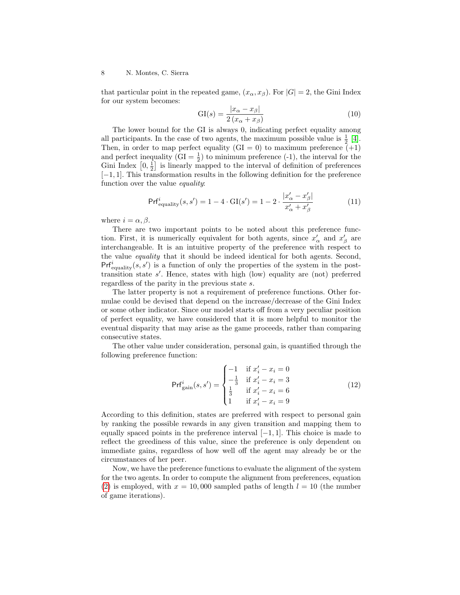that particular point in the repeated game,  $(x_{\alpha}, x_{\beta})$ . For  $|G| = 2$ , the Gini Index for our system becomes:

$$
GI(s) = \frac{|x_{\alpha} - x_{\beta}|}{2(x_{\alpha} + x_{\beta})}
$$
\n(10)

The lower bound for the GI is always 0, indicating perfect equality among all participants. In the case of two agents, the maximum possible value is  $\frac{1}{2}$  [\[4\]](#page-14-5). Then, in order to map perfect equality  $(GI = 0)$  to maximum preference  $(+1)$ and perfect inequality  $(GI = \frac{1}{2})$  to minimum preference (-1), the interval for the Gini Index  $\left[0, \frac{1}{2}\right]$  is linearly mapped to the interval of definition of preferences [−1, 1]. This transformation results in the following definition for the preference function over the value *equality*:

<span id="page-7-0"></span>
$$
\Prf_{\text{equality}}^{i}(s, s') = 1 - 4 \cdot \text{GI}(s') = 1 - 2 \cdot \frac{|x'_{\alpha} - x'_{\beta}|}{x'_{\alpha} + x'_{\beta}}
$$
(11)

where  $i = \alpha, \beta$ .

There are two important points to be noted about this preference function. First, it is numerically equivalent for both agents, since  $x'_\alpha$  and  $x'_\beta$  are interchangeable. It is an intuitive property of the preference with respect to the value equality that it should be indeed identical for both agents. Second,  $Prf_{\text{equality}}^i(s, s')$  is a function of only the properties of the system in the posttransition state  $s'$ . Hence, states with high (low) equality are (not) preferred regardless of the parity in the previous state s.

The latter property is not a requirement of preference functions. Other formulae could be devised that depend on the increase/decrease of the Gini Index or some other indicator. Since our model starts off from a very peculiar position of perfect equality, we have considered that it is more helpful to monitor the eventual disparity that may arise as the game proceeds, rather than comparing consecutive states.

The other value under consideration, personal gain, is quantified through the following preference function:

<span id="page-7-1"></span>
$$
\Prf_{\text{gain}}^{i}(s, s') = \begin{cases}\n-1 & \text{if } x'_i - x_i = 0 \\
-\frac{1}{3} & \text{if } x'_i - x_i = 3 \\
\frac{1}{3} & \text{if } x'_i - x_i = 6 \\
1 & \text{if } x'_i - x_i = 9\n\end{cases} \tag{12}
$$

According to this definition, states are preferred with respect to personal gain by ranking the possible rewards in any given transition and mapping them to equally spaced points in the preference interval  $[-1, 1]$ . This choice is made to reflect the greediness of this value, since the preference is only dependent on immediate gains, regardless of how well off the agent may already be or the circumstances of her peer.

Now, we have the preference functions to evaluate the alignment of the system for the two agents. In order to compute the alignment from preferences, equation [\(2\)](#page-2-2) is employed, with  $x = 10,000$  sampled paths of length  $l = 10$  (the number of game iterations).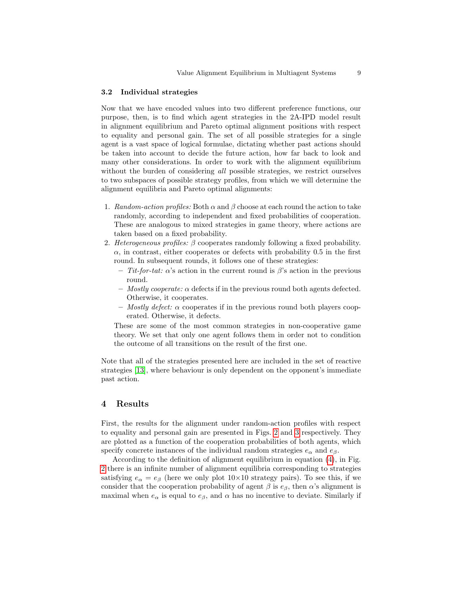#### 3.2 Individual strategies

Now that we have encoded values into two different preference functions, our purpose, then, is to find which agent strategies in the 2A-IPD model result in alignment equilibrium and Pareto optimal alignment positions with respect to equality and personal gain. The set of all possible strategies for a single agent is a vast space of logical formulae, dictating whether past actions should be taken into account to decide the future action, how far back to look and many other considerations. In order to work with the alignment equilibrium without the burden of considering all possible strategies, we restrict ourselves to two subspaces of possible strategy profiles, from which we will determine the alignment equilibria and Pareto optimal alignments:

- 1. Random-action profiles: Both  $\alpha$  and  $\beta$  choose at each round the action to take randomly, according to independent and fixed probabilities of cooperation. These are analogous to mixed strategies in game theory, where actions are taken based on a fixed probability.
- 2. Heterogeneous profiles:  $\beta$  cooperates randomly following a fixed probability.  $\alpha$ , in contrast, either cooperates or defects with probability 0.5 in the first round. In subsequent rounds, it follows one of these strategies:
	- Tit-for-tat:  $\alpha$ 's action in the current round is  $\beta$ 's action in the previous round.
	- Mostly cooperate:  $\alpha$  defects if in the previous round both agents defected. Otherwise, it cooperates.
	- Mostly defect:  $\alpha$  cooperates if in the previous round both players cooperated. Otherwise, it defects.

These are some of the most common strategies in non-cooperative game theory. We set that only one agent follows them in order not to condition the outcome of all transitions on the result of the first one.

Note that all of the strategies presented here are included in the set of reactive strategies [\[13\]](#page-15-13), where behaviour is only dependent on the opponent's immediate past action.

# 4 Results

First, the results for the alignment under random-action profiles with respect to equality and personal gain are presented in Figs. [2](#page-9-0) and [3](#page-9-1) respectively. They are plotted as a function of the cooperation probabilities of both agents, which specify concrete instances of the individual random strategies  $e_{\alpha}$  and  $e_{\beta}$ .

According to the definition of alignment equilibrium in equation [\(4\)](#page-4-0), in Fig. [2](#page-9-0) there is an infinite number of alignment equilibria corresponding to strategies satisfying  $e_{\alpha} = e_{\beta}$  (here we only plot  $10 \times 10$  strategy pairs). To see this, if we consider that the cooperation probability of agent  $\beta$  is  $e_{\beta}$ , then  $\alpha$ 's alignment is maximal when  $e_{\alpha}$  is equal to  $e_{\beta}$ , and  $\alpha$  has no incentive to deviate. Similarly if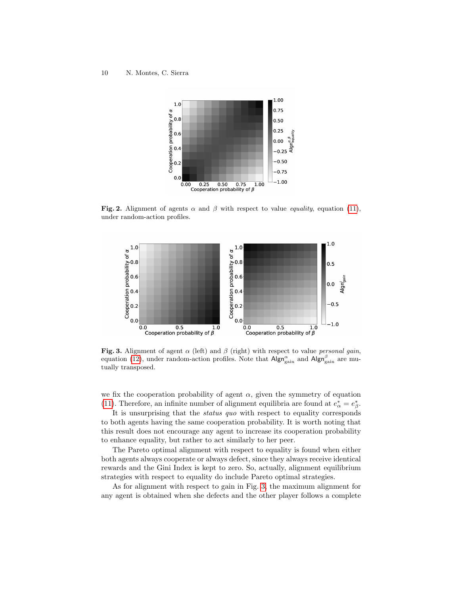

<span id="page-9-0"></span>Fig. 2. Alignment of agents  $\alpha$  and  $\beta$  with respect to value *equality*, equation [\(11\)](#page-7-0), under random-action profiles.



<span id="page-9-1"></span>Fig. 3. Alignment of agent  $\alpha$  (left) and  $\beta$  (right) with respect to value personal gain, equation [\(12\)](#page-7-1), under random-action profiles. Note that  $\mathsf{Algn}^{\alpha}_{\text{gain}}$  and  $\mathsf{Algn}^{\beta}_{\text{gain}}$  are mutually transposed.

we fix the cooperation probability of agent  $\alpha$ , given the symmetry of equation [\(11\)](#page-7-0). Therefore, an infinite number of alignment equilibria are found at  $e^*_{\alpha} = e^*_{\beta}$ .

It is unsurprising that the status quo with respect to equality corresponds to both agents having the same cooperation probability. It is worth noting that this result does not encourage any agent to increase its cooperation probability to enhance equality, but rather to act similarly to her peer.

The Pareto optimal alignment with respect to equality is found when either both agents always cooperate or always defect, since they always receive identical rewards and the Gini Index is kept to zero. So, actually, alignment equilibrium strategies with respect to equality do include Pareto optimal strategies.

As for alignment with respect to gain in Fig. [3,](#page-9-1) the maximum alignment for any agent is obtained when she defects and the other player follows a complete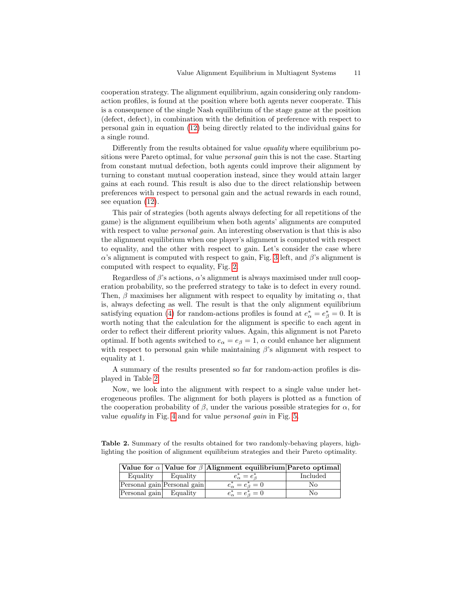cooperation strategy. The alignment equilibrium, again considering only randomaction profiles, is found at the position where both agents never cooperate. This is a consequence of the single Nash equilibrium of the stage game at the position (defect, defect), in combination with the definition of preference with respect to personal gain in equation [\(12\)](#page-7-1) being directly related to the individual gains for a single round.

Differently from the results obtained for value *equality* where equilibrium positions were Pareto optimal, for value *personal gain* this is not the case. Starting from constant mutual defection, both agents could improve their alignment by turning to constant mutual cooperation instead, since they would attain larger gains at each round. This result is also due to the direct relationship between preferences with respect to personal gain and the actual rewards in each round, see equation [\(12\)](#page-7-1).

This pair of strategies (both agents always defecting for all repetitions of the game) is the alignment equilibrium when both agents' alignments are computed with respect to value *personal gain*. An interesting observation is that this is also the alignment equilibrium when one player's alignment is computed with respect to equality, and the other with respect to gain. Let's consider the case where α's alignment is computed with respect to gain, Fig. [3](#page-9-1) left, and  $β$ 's alignment is computed with respect to equality, Fig. [2.](#page-9-0)

Regardless of  $\beta$ 's actions,  $\alpha$ 's alignment is always maximised under null cooperation probability, so the preferred strategy to take is to defect in every round. Then,  $\beta$  maximises her alignment with respect to equality by imitating  $\alpha$ , that is, always defecting as well. The result is that the only alignment equilibrium satisfying equation [\(4\)](#page-4-0) for random-actions profiles is found at  $e^*_{\alpha} = e^*_{\beta} = 0$ . It is worth noting that the calculation for the alignment is specific to each agent in order to reflect their different priority values. Again, this alignment is not Pareto optimal. If both agents switched to  $e_{\alpha} = e_{\beta} = 1$ ,  $\alpha$  could enhance her alignment with respect to personal gain while maintaining  $\beta$ 's alignment with respect to equality at 1.

A summary of the results presented so far for random-action profiles is displayed in Table [2.](#page-10-0)

Now, we look into the alignment with respect to a single value under heterogeneous profiles. The alignment for both players is plotted as a function of the cooperation probability of  $\beta$ , under the various possible strategies for  $\alpha$ , for value *equality* in Fig. [4](#page-11-0) and for value *personal qain* in Fig. [5.](#page-11-1)

Table 2. Summary of the results obtained for two randomly-behaving players, highlighting the position of alignment equilibrium strategies and their Pareto optimality.

<span id="page-10-0"></span>

|  |                        |                             | Value for $\alpha$ Value for $\beta$ Alignment equilibrium Pareto optimal |                 |
|--|------------------------|-----------------------------|---------------------------------------------------------------------------|-----------------|
|  | Equality               | Equality                    | $e_{\alpha}^* = e_{\beta}^*$                                              | <b>Included</b> |
|  |                        | Personal gain Personal gain | $e_{\alpha}^* = e_{\beta}^* = 0$                                          | No              |
|  | Personal gain Equality |                             | $e_{\alpha}^* = e_{\beta}^* = 0$                                          | No              |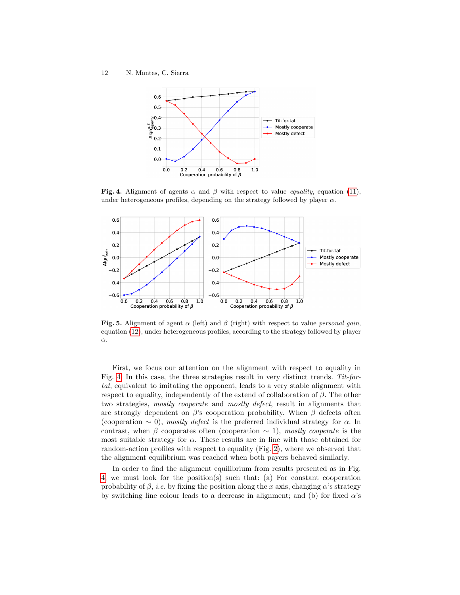

<span id="page-11-0"></span>Fig. 4. Alignment of agents  $\alpha$  and  $\beta$  with respect to value *equality*, equation [\(11\)](#page-7-0), under heterogeneous profiles, depending on the strategy followed by player  $\alpha$ .



<span id="page-11-1"></span>Fig. 5. Alignment of agent  $\alpha$  (left) and  $\beta$  (right) with respect to value *personal gain*, equation [\(12\)](#page-7-1), under heterogeneous profiles, according to the strategy followed by player α.

First, we focus our attention on the alignment with respect to equality in Fig. [4.](#page-11-0) In this case, the three strategies result in very distinct trends. Tit-fortat, equivalent to imitating the opponent, leads to a very stable alignment with respect to equality, independently of the extend of collaboration of  $\beta$ . The other two strategies, mostly cooperate and mostly defect, result in alignments that are strongly dependent on  $\beta$ 's cooperation probability. When  $\beta$  defects often (cooperation  $\sim$  0), mostly defect is the preferred individual strategy for  $\alpha$ . In contrast, when β cooperates often (cooperation  $\sim$  1), mostly cooperate is the most suitable strategy for  $\alpha$ . These results are in line with those obtained for random-action profiles with respect to equality (Fig. [2\)](#page-9-0), where we observed that the alignment equilibrium was reached when both payers behaved similarly.

In order to find the alignment equilibrium from results presented as in Fig. [4,](#page-11-0) we must look for the position(s) such that: (a) For constant cooperation probability of  $\beta$ , *i.e.* by fixing the position along the x axis, changing  $\alpha$ 's strategy by switching line colour leads to a decrease in alignment; and (b) for fixed  $\alpha$ 's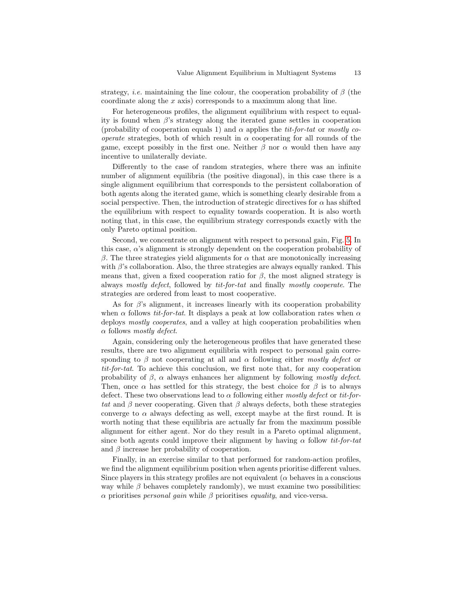strategy, *i.e.* maintaining the line colour, the cooperation probability of  $\beta$  (the coordinate along the x axis) corresponds to a maximum along that line.

For heterogeneous profiles, the alignment equilibrium with respect to equality is found when  $\beta$ 's strategy along the iterated game settles in cooperation (probability of cooperation equals 1) and  $\alpha$  applies the *tit-for-tat* or mostly co*operate* strategies, both of which result in  $\alpha$  cooperating for all rounds of the game, except possibly in the first one. Neither  $\beta$  nor  $\alpha$  would then have any incentive to unilaterally deviate.

Differently to the case of random strategies, where there was an infinite number of alignment equilibria (the positive diagonal), in this case there is a single alignment equilibrium that corresponds to the persistent collaboration of both agents along the iterated game, which is something clearly desirable from a social perspective. Then, the introduction of strategic directives for  $\alpha$  has shifted the equilibrium with respect to equality towards cooperation. It is also worth noting that, in this case, the equilibrium strategy corresponds exactly with the only Pareto optimal position.

Second, we concentrate on alignment with respect to personal gain, Fig. [5.](#page-11-1) In this case,  $\alpha$ 's alignment is strongly dependent on the cooperation probability of β. The three strategies yield alignments for  $\alpha$  that are monotonically increasing with  $\beta$ 's collaboration. Also, the three strategies are always equally ranked. This means that, given a fixed cooperation ratio for  $\beta$ , the most aligned strategy is always mostly defect, followed by tit-for-tat and finally mostly cooperate. The strategies are ordered from least to most cooperative.

As for  $\beta$ 's alignment, it increases linearly with its cooperation probability when  $\alpha$  follows *tit-for-tat*. It displays a peak at low collaboration rates when  $\alpha$ deploys *mostly cooperates*, and a valley at high cooperation probabilities when  $\alpha$  follows *mostly defect.* 

Again, considering only the heterogeneous profiles that have generated these results, there are two alignment equilibria with respect to personal gain corresponding to β not cooperating at all and  $\alpha$  following either mostly defect or tit-for-tat. To achieve this conclusion, we first note that, for any cooperation probability of  $\beta$ ,  $\alpha$  always enhances her alignment by following mostly defect. Then, once  $\alpha$  has settled for this strategy, the best choice for  $\beta$  is to always defect. These two observations lead to  $\alpha$  following either mostly defect or tit-fortat and  $\beta$  never cooperating. Given that  $\beta$  always defects, both these strategies converge to  $\alpha$  always defecting as well, except maybe at the first round. It is worth noting that these equilibria are actually far from the maximum possible alignment for either agent. Nor do they result in a Pareto optimal alignment, since both agents could improve their alignment by having  $\alpha$  follow *tit-for-tat* and  $\beta$  increase her probability of cooperation.

Finally, in an exercise similar to that performed for random-action profiles, we find the alignment equilibrium position when agents prioritise different values. Since players in this strategy profiles are not equivalent ( $\alpha$  behaves in a conscious way while  $\beta$  behaves completely randomly), we must examine two possibilities: α prioritises *personal gain* while  $β$  prioritises *equality*, and vice-versa.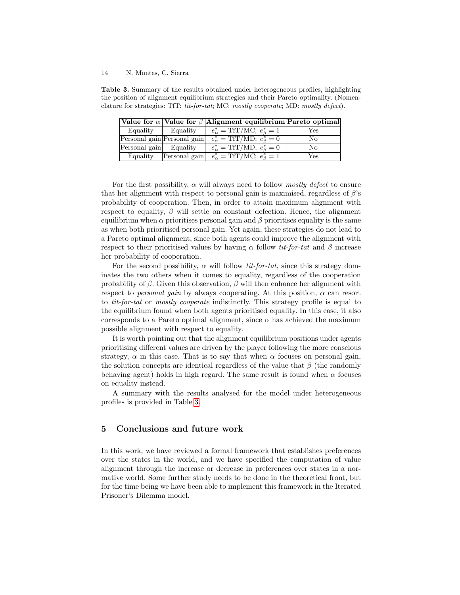<span id="page-13-0"></span>Table 3. Summary of the results obtained under heterogeneous profiles, highlighting the position of alignment equilibrium strategies and their Pareto optimality. (Nomenclature for strategies: TfT: tit-for-tat; MC: mostly cooperate; MD: mostly defect).

|                        |                             | Value for $\alpha$ Value for $\beta$ Alignment equilibrium Pareto optimal |     |
|------------------------|-----------------------------|---------------------------------------------------------------------------|-----|
| Equality               | Equality                    | $e_{\alpha}^* = \text{TfT/MC}; e_{\beta}^* = 1$                           | Yes |
|                        | Personal gain Personal gain | $e^*_{\alpha} = \text{TfT}/\overline{\text{MD}}; e^*_{\beta} = 0$         | No  |
| Personal gain Equality |                             | $e_{\alpha}^* = \text{TfT/MD}; e_{\beta}^* = 0$                           | No  |
| Equality               | Personal gain               | $e_{\alpha}^{*} = \text{TfT/MC}; e_{\beta}^{*} = 1$                       | Yes |

For the first possibility,  $\alpha$  will always need to follow *mostly defect* to ensure that her alignment with respect to personal gain is maximised, regardless of  $\beta$ 's probability of cooperation. Then, in order to attain maximum alignment with respect to equality,  $\beta$  will settle on constant defection. Hence, the alignment equilibrium when  $\alpha$  prioritises personal gain and  $\beta$  prioritises equality is the same as when both prioritised personal gain. Yet again, these strategies do not lead to a Pareto optimal alignment, since both agents could improve the alignment with respect to their prioritised values by having  $\alpha$  follow tit-for-tat and  $\beta$  increase her probability of cooperation.

For the second possibility,  $\alpha$  will follow *tit-for-tat*, since this strategy dominates the two others when it comes to equality, regardless of the cooperation probability of  $\beta$ . Given this observation,  $\beta$  will then enhance her alignment with respect to *personal gain* by always cooperating. At this position,  $\alpha$  can resort to tit-for-tat or mostly cooperate indistinctly. This strategy profile is equal to the equilibrium found when both agents prioritised equality. In this case, it also corresponds to a Pareto optimal alignment, since  $\alpha$  has achieved the maximum possible alignment with respect to equality.

It is worth pointing out that the alignment equilibrium positions under agents prioritising different values are driven by the player following the more conscious strategy,  $\alpha$  in this case. That is to say that when  $\alpha$  focuses on personal gain, the solution concepts are identical regardless of the value that  $\beta$  (the randomly behaving agent) holds in high regard. The same result is found when  $\alpha$  focuses on equality instead.

A summary with the results analysed for the model under heterogeneous profiles is provided in Table [3.](#page-13-0)

# 5 Conclusions and future work

In this work, we have reviewed a formal framework that establishes preferences over the states in the world, and we have specified the computation of value alignment through the increase or decrease in preferences over states in a normative world. Some further study needs to be done in the theoretical front, but for the time being we have been able to implement this framework in the Iterated Prisoner's Dilemma model.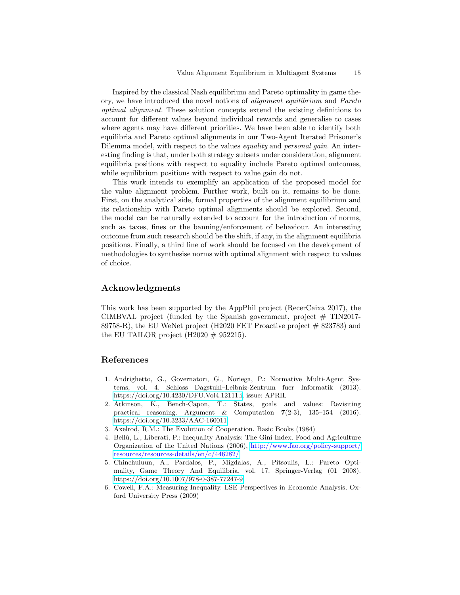Inspired by the classical Nash equilibrium and Pareto optimality in game theory, we have introduced the novel notions of alignment equilibrium and Pareto optimal alignment. These solution concepts extend the existing definitions to account for different values beyond individual rewards and generalise to cases where agents may have different priorities. We have been able to identify both equilibria and Pareto optimal alignments in our Two-Agent Iterated Prisoner's Dilemma model, with respect to the values *equality* and *personal gain*. An interesting finding is that, under both strategy subsets under consideration, alignment equilibria positions with respect to equality include Pareto optimal outcomes, while equilibrium positions with respect to value gain do not.

This work intends to exemplify an application of the proposed model for the value alignment problem. Further work, built on it, remains to be done. First, on the analytical side, formal properties of the alignment equilibrium and its relationship with Pareto optimal alignments should be explored. Second, the model can be naturally extended to account for the introduction of norms, such as taxes, fines or the banning/enforcement of behaviour. An interesting outcome from such research should be the shift, if any, in the alignment equilibria positions. Finally, a third line of work should be focused on the development of methodologies to synthesise norms with optimal alignment with respect to values of choice.

## Acknowledgments

This work has been supported by the AppPhil project (RecerCaixa 2017), the CIMBVAL project (funded by the Spanish government, project  $\#$  TIN2017-89758-R), the EU WeNet project (H2020 FET Proactive project  $\#$  823783) and the EU TAILOR project (H2020  $\#$  952215).

# References

- <span id="page-14-1"></span>1. Andrighetto, G., Governatori, G., Noriega, P.: Normative Multi-Agent Systems, vol. 4. Schloss Dagstuhl–Leibniz-Zentrum fuer Informatik (2013). [https://doi.org/10.4230/DFU.Vol4.12111.i,](https://doi.org/10.4230/DFU.Vol4.12111.i) issue: APRIL
- <span id="page-14-2"></span>2. Atkinson, K., Bench-Capon, T.: States, goals and values: Revisiting practical reasoning. Argument & Computation 7(2-3), 135–154 (2016). <https://doi.org/10.3233/AAC-160011>
- <span id="page-14-0"></span>3. Axelrod, R.M.: The Evolution of Cooperation. Basic Books (1984)
- <span id="page-14-5"></span>4. Bellù, L., Liberati, P.: Inequality Analysis: The Gini Index. Food and Agriculture Organization of the United Nations (2006), [http://www.fao.org/policy-support/](http://www.fao.org/policy-support/resources/resources-details/en/c/446282/) [resources/resources-details/en/c/446282/](http://www.fao.org/policy-support/resources/resources-details/en/c/446282/)
- <span id="page-14-3"></span>5. Chinchuluun, A., Pardalos, P., Migdalas, A., Pitsoulis, L.: Pareto Optimality, Game Theory And Equilibria, vol. 17. Springer-Verlag (01 2008). <https://doi.org/10.1007/978-0-387-77247-9>
- <span id="page-14-4"></span>6. Cowell, F.A.: Measuring Inequality. LSE Perspectives in Economic Analysis, Oxford University Press (2009)